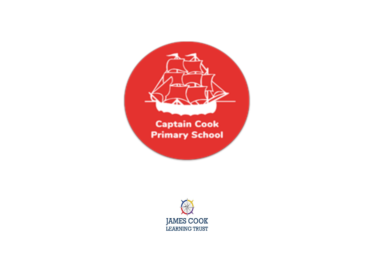

**Captain Cook Primary School** 

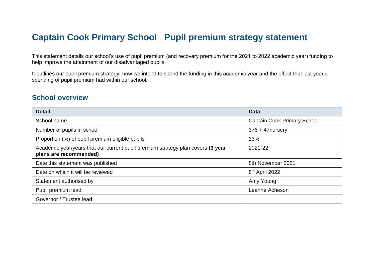# **Captain Cook Primary School Pupil premium strategy statement**

This statement details our school's use of pupil premium (and recovery premium for the 2021 to 2022 academic year) funding to help improve the attainment of our disadvantaged pupils.

It outlines our pupil premium strategy, how we intend to spend the funding in this academic year and the effect that last year's spending of pupil premium had within our school.

## **School overview**

| <b>Detail</b>                                                                                             | <b>Data</b>                        |
|-----------------------------------------------------------------------------------------------------------|------------------------------------|
| School name                                                                                               | <b>Captain Cook Primary School</b> |
| Number of pupils in school                                                                                | $376 + 47$ nursery                 |
| Proportion (%) of pupil premium eligible pupils                                                           | 13%                                |
| Academic year/years that our current pupil premium strategy plan covers (3 year<br>plans are recommended) | 2021-22                            |
| Date this statement was published                                                                         | 8th November 2021                  |
| Date on which it will be reviewed                                                                         | 8 <sup>th</sup> April 2022         |
| Statement authorised by                                                                                   | Amy Young                          |
| Pupil premium lead                                                                                        | Leanne Acheson                     |
| Governor / Trustee lead                                                                                   |                                    |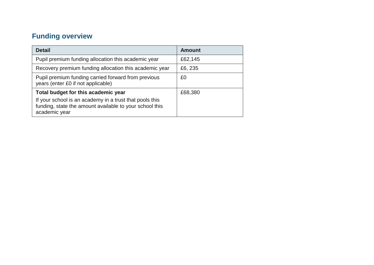# **Funding overview**

| <b>Detail</b>                                                                                                                       | <b>Amount</b> |
|-------------------------------------------------------------------------------------------------------------------------------------|---------------|
| Pupil premium funding allocation this academic year                                                                                 | £62,145       |
| Recovery premium funding allocation this academic year                                                                              | £6, 235       |
| Pupil premium funding carried forward from previous<br>years (enter £0 if not applicable)                                           | £0            |
| Total budget for this academic year                                                                                                 | £68,380       |
| If your school is an academy in a trust that pools this<br>funding, state the amount available to your school this<br>academic year |               |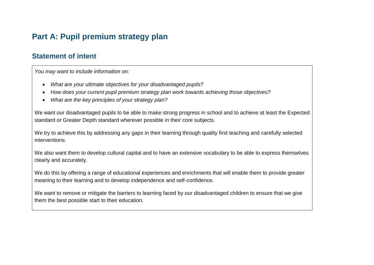# **Part A: Pupil premium strategy plan**

## **Statement of intent**

*You may want to include information on:*

- *What are your ultimate objectives for your disadvantaged pupils?*
- *How does your current pupil premium strategy plan work towards achieving those objectives?*
- *What are the key principles of your strategy plan?*

We want our disadvantaged pupils to be able to make strong progress in school and to achieve at least the Expected standard or Greater Depth standard wherever possible in their core subjects.

We try to achieve this by addressing any gaps in their learning through quality first teaching and carefully selected interventions.

We also want them to develop cultural capital and to have an extensive vocabulary to be able to express themselves clearly and accurately.

We do this by offering a range of educational experiences and enrichments that will enable them to provide greater meaning to their learning and to develop independence and self-confidence.

We want to remove or mitigate the barriers to learning faced by our disadvantaged children to ensure that we give them the best possible start to their education.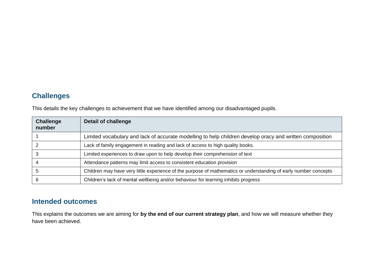# **Challenges**

This details the key challenges to achievement that we have identified among our disadvantaged pupils.

| <b>Challenge</b><br>number | <b>Detail of challenge</b>                                                                                       |
|----------------------------|------------------------------------------------------------------------------------------------------------------|
|                            | Limited vocabulary and lack of accurate modelling to help children develop oracy and written composition         |
|                            | Lack of family engagement in reading and lack of access to high quality books.                                   |
|                            | Limited experiences to draw upon to help develop their comprehension of text                                     |
|                            | Attendance patterns may limit access to consistent education provision                                           |
|                            | Children may have very little experience of the purpose of mathematics or understanding of early number concepts |
|                            | Children's lack of mental wellbeing and/or behaviour for learning inhibits progress                              |

## **Intended outcomes**

This explains the outcomes we are aiming for **by the end of our current strategy plan**, and how we will measure whether they have been achieved.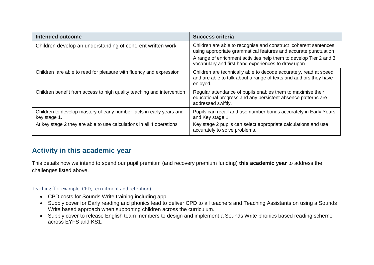| Intended outcome                                                                                                                                             | <b>Success criteria</b>                                                                                                                                                                                                                                        |
|--------------------------------------------------------------------------------------------------------------------------------------------------------------|----------------------------------------------------------------------------------------------------------------------------------------------------------------------------------------------------------------------------------------------------------------|
| Children develop an understanding of coherent written work                                                                                                   | Children are able to recognise and construct coherent sentences<br>using appropriate grammatical features and accurate punctuation<br>A range of enrichment activities help them to develop Tier 2 and 3<br>vocabulary and first hand experiences to draw upon |
| Children are able to read for pleasure with fluency and expression                                                                                           | Children are technically able to decode accurately, read at speed<br>and are able to talk about a range of texts and authors they have<br>enjoyed.                                                                                                             |
| Children benefit from access to high quality teaching and intervention                                                                                       | Regular attendance of pupils enables them to maximise their<br>educational progress and any persistent absence patterns are<br>addressed swiftly.                                                                                                              |
| Children to develop mastery of early number facts in early years and<br>key stage 1.<br>At key stage 2 they are able to use calculations in all 4 operations | Pupils can recall and use number bonds accurately in Early Years<br>and Key stage 1.<br>Key stage 2 pupils can select appropriate calculations and use<br>accurately to solve problems.                                                                        |

## **Activity in this academic year**

This details how we intend to spend our pupil premium (and recovery premium funding) **this academic year** to address the challenges listed above.

#### Teaching (for example, CPD, recruitment and retention)

- CPD costs for Sounds Write training including app.
- Supply cover for Early reading and phonics lead to deliver CPD to all teachers and Teaching Assistants on using a Sounds Write based approach when supporting children across the curriculum.
- Supply cover to release English team members to design and implement a Sounds Write phonics based reading scheme across EYFS and KS1.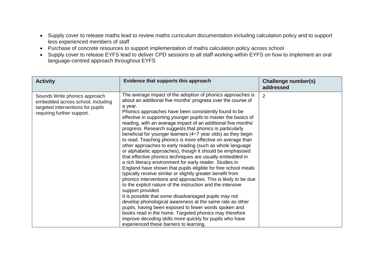- Supply cover to release maths lead to review maths curriculum documentation including calculation policy and to support less experienced members of staff
- Purchase of concrete resources to support implementation of maths calculation policy across school
- Supply cover to release EYFS lead to deliver CPD sessions to all staff working within EYFS on how to implement an oral language-centred approach throughout EYFS

| <b>Activity</b>                                                                                                                       | Evidence that supports this approach                                                                                                                                                                                                                                                                                                                                                                                                                                                                                                                                                                                                                                                                                                                                                                                                                                                                                                                                                                                                                                                                                                                                                                                                                                                                                                                                                                                  | <b>Challenge number(s)</b><br>addressed |
|---------------------------------------------------------------------------------------------------------------------------------------|-----------------------------------------------------------------------------------------------------------------------------------------------------------------------------------------------------------------------------------------------------------------------------------------------------------------------------------------------------------------------------------------------------------------------------------------------------------------------------------------------------------------------------------------------------------------------------------------------------------------------------------------------------------------------------------------------------------------------------------------------------------------------------------------------------------------------------------------------------------------------------------------------------------------------------------------------------------------------------------------------------------------------------------------------------------------------------------------------------------------------------------------------------------------------------------------------------------------------------------------------------------------------------------------------------------------------------------------------------------------------------------------------------------------------|-----------------------------------------|
| Sounds Write phonics approach<br>embedded across school, including<br>targeted interventions for pupils<br>requiring further support. | The average impact of the adoption of phonics approaches is<br>about an additional five months' progress over the course of<br>a year.<br>Phonics approaches have been consistently found to be<br>effective in supporting younger pupils to master the basics of<br>reading, with an average impact of an additional five months'<br>progress. Research suggests that phonics is particularly<br>beneficial for younger learners (4-7 year olds) as they begin<br>to read. Teaching phonics is more effective on average than<br>other approaches to early reading (such as whole language<br>or alphabetic approaches), though it should be emphasised<br>that effective phonics techniques are usually embedded in<br>a rich literacy environment for early reader. Studies in<br>England have shown that pupils eligible for free school meals<br>typically receive similar or slightly greater benefit from<br>phonics interventions and approaches. This is likely to be due<br>to the explicit nature of the instruction and the intensive<br>support provided.<br>It is possible that some disadvantaged pupils may not<br>develop phonological awareness at the same rate as other<br>pupils, having been exposed to fewer words spoken and<br>books read in the home. Targeted phonics may therefore<br>improve decoding skills more quickly for pupils who have<br>experienced these barriers to learning. | 2                                       |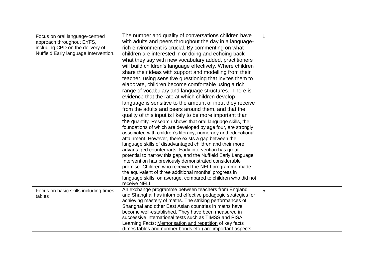| Focus on oral language-centred<br>approach throughout EYFS,<br>including CPD on the delivery of<br>Nuffield Early language Intervention. | The number and quality of conversations children have<br>with adults and peers throughout the day in a language-<br>rich environment is crucial. By commenting on what<br>children are interested in or doing and echoing back<br>what they say with new vocabulary added, practitioners<br>will build children's language effectively. Where children<br>share their ideas with support and modelling from their<br>teacher, using sensitive questioning that invites them to<br>elaborate, children become comfortable using a rich<br>range of vocabulary and language structures. There is<br>evidence that the rate at which children develop<br>language is sensitive to the amount of input they receive<br>from the adults and peers around them, and that the<br>quality of this input is likely to be more important than<br>the quantity. Research shows that oral language skills, the<br>foundations of which are developed by age four, are strongly<br>associated with children's literacy, numeracy and educational<br>attainment. However, there exists a gap between the<br>language skills of disadvantaged children and their more<br>advantaged counterparts. Early intervention has great<br>potential to narrow this gap, and the Nuffield Early Language<br>Intervention has previously demonstrated considerable<br>promise. Children who received the NELI programme made<br>the equivalent of three additional months' progress in<br>language skills, on average, compared to children who did not<br>receive NELI. | $\mathbf{1}$ |
|------------------------------------------------------------------------------------------------------------------------------------------|-------------------------------------------------------------------------------------------------------------------------------------------------------------------------------------------------------------------------------------------------------------------------------------------------------------------------------------------------------------------------------------------------------------------------------------------------------------------------------------------------------------------------------------------------------------------------------------------------------------------------------------------------------------------------------------------------------------------------------------------------------------------------------------------------------------------------------------------------------------------------------------------------------------------------------------------------------------------------------------------------------------------------------------------------------------------------------------------------------------------------------------------------------------------------------------------------------------------------------------------------------------------------------------------------------------------------------------------------------------------------------------------------------------------------------------------------------------------------------------------------------------------------------------------------|--------------|
| Focus on basic skills including times<br>tables                                                                                          | An exchange programme between teachers from England<br>and Shanghai has informed effective pedagogic strategies for<br>achieving mastery of maths. The striking performances of<br>Shanghai and other East Asian countries in maths have<br>become well-established. They have been measured in<br>successive international tests such as TIMSS and PISA.<br>Learning Facts: Memorisation and repetition of key facts<br>(times tables and number bonds etc.) are important aspects                                                                                                                                                                                                                                                                                                                                                                                                                                                                                                                                                                                                                                                                                                                                                                                                                                                                                                                                                                                                                                                             | 5            |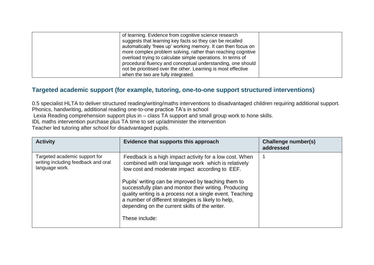| of learning. Evidence from cognitive science research<br>suggests that learning key facts so they can be recalled<br>automatically 'frees up' working memory. It can then focus on<br>more complex problem solving, rather than reaching cognitive<br>overload trying to calculate simple operations. In terms of<br>procedural fluency and conceptual understanding, one should<br>not be prioritised over the other. Learning is most effective |  |
|---------------------------------------------------------------------------------------------------------------------------------------------------------------------------------------------------------------------------------------------------------------------------------------------------------------------------------------------------------------------------------------------------------------------------------------------------|--|
| when the two are fully integrated.                                                                                                                                                                                                                                                                                                                                                                                                                |  |

## **Targeted academic support (for example, tutoring, one-to-one support structured interventions)**

0.5 specialist HLTA to deliver structured reading/writing/maths interventions to disadvantaged children requiring additional support. Phonics, handwriting, additional reading one-to-one practice TA's in school Lexia Reading comprehension support plus in – class TA support and small group work to hone skills. IDL maths intervention purchase plus TA time to set up/administer the intervention Teacher led tutoring after school for disadvantaged pupils.

| <b>Activity</b>                                                                        | Evidence that supports this approach                                                                                                                                                                                                                                                                                                                                                                                                                                       | <b>Challenge number(s)</b><br>addressed |
|----------------------------------------------------------------------------------------|----------------------------------------------------------------------------------------------------------------------------------------------------------------------------------------------------------------------------------------------------------------------------------------------------------------------------------------------------------------------------------------------------------------------------------------------------------------------------|-----------------------------------------|
| Targeted academic support for<br>writing including feedback and oral<br>language work. | Feedback is a high impact activity for a low cost. When<br>combined with oral language work which is relatively<br>low cost and moderate impact according to EEF.<br>Pupils' writing can be improved by teaching them to<br>successfully plan and monitor their writing. Producing<br>quality writing is a process not a single event. Teaching<br>a number of different strategies is likely to help,<br>depending on the current skills of the writer.<br>These include: |                                         |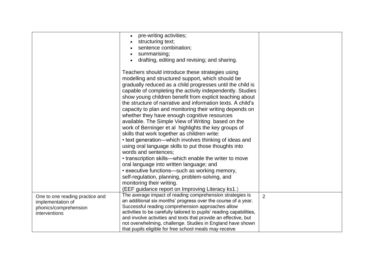|                                 | pre-writing activities;                                              |   |
|---------------------------------|----------------------------------------------------------------------|---|
|                                 | structuring text;                                                    |   |
|                                 | sentence combination;                                                |   |
|                                 | summarising;                                                         |   |
|                                 | drafting, editing and revising; and sharing.                         |   |
|                                 |                                                                      |   |
|                                 |                                                                      |   |
|                                 | Teachers should introduce these strategies using                     |   |
|                                 | modelling and structured support, which should be                    |   |
|                                 | gradually reduced as a child progresses until the child is           |   |
|                                 | capable of completing the activity independently. Studies            |   |
|                                 | show young children benefit from explicit teaching about             |   |
|                                 | the structure of narrative and information texts. A child's          |   |
|                                 | capacity to plan and monitoring their writing depends on             |   |
|                                 | whether they have enough cognitive resources                         |   |
|                                 | available. The Simple View of Writing based on the                   |   |
|                                 | work of Berninger et al highlights the key groups of                 |   |
|                                 | skills that work together as children write:                         |   |
|                                 | • text generation—which involves thinking of ideas and               |   |
|                                 | using oral language skills to put those thoughts into                |   |
|                                 |                                                                      |   |
|                                 | words and sentences;                                                 |   |
|                                 | • transcription skills—which enable the writer to move               |   |
|                                 | oral language into written language; and                             |   |
|                                 | • executive functions—such as working memory,                        |   |
|                                 | self-regulation, planning, problem-solving, and                      |   |
|                                 | monitoring their writing.                                            |   |
|                                 | (EEF guidance report on Improving Literacy ks1.)                     |   |
| One to one reading practice and | The average impact of reading comprehension strategies is            | 2 |
| implementation of               | an additional six months' progress over the course of a year.        |   |
| phonics/comprehension           | Successful reading comprehension approaches allow                    |   |
| interventions                   | activities to be carefully tailored to pupils' reading capabilities, |   |
|                                 | and involve activities and texts that provide an effective, but      |   |
|                                 | not overwhelming, challenge. Studies in England have shown           |   |
|                                 | that pupils eligible for free school meals may receive               |   |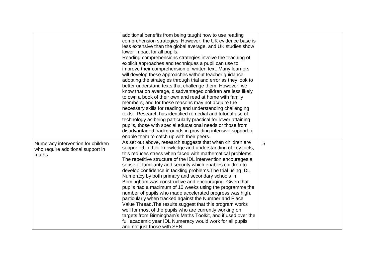|                                    | additional benefits from being taught how to use reading        |   |
|------------------------------------|-----------------------------------------------------------------|---|
|                                    | comprehension strategies. However, the UK evidence base is      |   |
|                                    | less extensive than the global average, and UK studies show     |   |
|                                    | lower impact for all pupils.                                    |   |
|                                    | Reading comprehensions strategies involve the teaching of       |   |
|                                    | explicit approaches and techniques a pupil can use to           |   |
|                                    | improve their comprehension of written text. Many learners      |   |
|                                    | will develop these approaches without teacher guidance,         |   |
|                                    | adopting the strategies through trial and error as they look to |   |
|                                    | better understand texts that challenge them. However, we        |   |
|                                    | know that on average, disadvantaged children are less likely    |   |
|                                    | to own a book of their own and read at home with family         |   |
|                                    | members, and for these reasons may not acquire the              |   |
|                                    | necessary skills for reading and understanding challenging      |   |
|                                    | texts. Research has identified remedial and tutorial use of     |   |
|                                    | technology as being particularly practical for lower attaining  |   |
|                                    | pupils, those with special educational needs or those from      |   |
|                                    | disadvantaged backgrounds in providing intensive support to     |   |
|                                    | enable them to catch up with their peers.                       |   |
| Numeracy intervention for children | As set out above, research suggests that when children are      | 5 |
| who require additional support in  | supported in their knowledge and understanding of key facts,    |   |
| maths                              | this reduces stress when faced with mathematical problems.      |   |
|                                    | The repetitive structure of the IDL intervention encourages a   |   |
|                                    | sense of familiarity and security which enables children to     |   |
|                                    | develop confidence in tackling problems. The trial using IDL    |   |
|                                    | Numeracy by both primary and secondary schools in               |   |
|                                    | Birmingham was constructive and encouraging. Given that         |   |
|                                    | pupils had a maximum of 10 weeks using the programme the        |   |
|                                    | number of pupils who made accelerated progress was high,        |   |
|                                    | particularly when tracked against the Number and Place          |   |
|                                    | Value Thread. The results suggest that this program works       |   |
|                                    | well for most of the pupils who are currently working on        |   |
|                                    | targets from Birmingham's Maths Toolkit, and if used over the   |   |
|                                    | full academic year IDL Numeracy would work for all pupils       |   |
|                                    | and not just those with SEN                                     |   |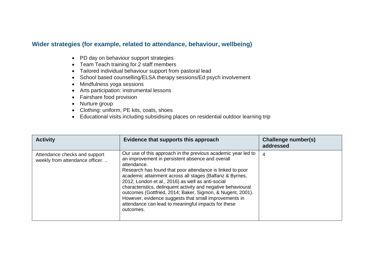#### **Wider strategies (for example, related to attendance, behaviour, wellbeing)**

- PD day on behaviour support strategies
- Team Teach training for 2 staff members
- Tailored individual behaviour support from pastoral lead
- School based counselling/ELSA therapy sessions/Ed psych involvement
- Mindfulness yoga sessions
- Arts participation: instrumental lessons
- Fairshare food provision
- Nurture group
- Clothing: uniform, PE kits, coats, shoes
- Educational visits including subsidising places on residential outdoor learning trip

| <b>Activity</b>                                                  | Evidence that supports this approach                                                                                                                                                                                                                                                                                                                                                                                                                                                                                                                                       | Challenge number(s)<br>addressed |
|------------------------------------------------------------------|----------------------------------------------------------------------------------------------------------------------------------------------------------------------------------------------------------------------------------------------------------------------------------------------------------------------------------------------------------------------------------------------------------------------------------------------------------------------------------------------------------------------------------------------------------------------------|----------------------------------|
| Attendance checks and support<br>weekly from attendance officer. | Our use of this approach in the previous academic year led to<br>an improvement in persistent absence and overall<br>attendance.<br>Research has found that poor attendance is linked to poor<br>academic attainment across all stages (Balfanz & Byrnes,<br>2012; London et al., 2016) as well as anti-social<br>characteristics, delinquent activity and negative behavioural<br>outcomes (Gottfried, 2014; Baker, Sigmon, & Nugent, 2001).<br>However, evidence suggests that small improvements in<br>attendance can lead to meaningful impacts for these<br>outcomes. | 4                                |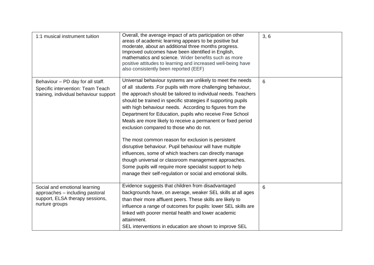| 1:1 musical instrument tuition                                                                                        | Overall, the average impact of arts participation on other<br>areas of academic learning appears to be positive but<br>moderate, about an additional three months progress.<br>Improved outcomes have been identified in English,<br>mathematics and science. Wider benefits such as more<br>positive attitudes to learning and increased well-being have<br>also consistently been reported (EEF)                                                                                                                                                                                                                                                                                                                                                                                                                                                               | 3, 6 |
|-----------------------------------------------------------------------------------------------------------------------|------------------------------------------------------------------------------------------------------------------------------------------------------------------------------------------------------------------------------------------------------------------------------------------------------------------------------------------------------------------------------------------------------------------------------------------------------------------------------------------------------------------------------------------------------------------------------------------------------------------------------------------------------------------------------------------------------------------------------------------------------------------------------------------------------------------------------------------------------------------|------|
| Behaviour - PD day for all staff.<br>Specific intervention: Team Teach<br>training, individual behaviour support      | Universal behaviour systems are unlikely to meet the needs<br>of all students . For pupils with more challenging behaviour,<br>the approach should be tailored to individual needs. Teachers<br>should be trained in specific strategies if supporting pupils<br>with high behaviour needs. According to figures from the<br>Department for Education, pupils who receive Free School<br>Meals are more likely to receive a permanent or fixed period<br>exclusion compared to those who do not.<br>The most common reason for exclusion is persistent<br>disruptive behaviour. Pupil behaviour will have multiple<br>influences, some of which teachers can directly manage<br>though universal or classroom management approaches.<br>Some pupils will require more specialist support to help<br>manage their self-regulation or social and emotional skills. | 6    |
| Social and emotional learning<br>approaches - including pastoral<br>support, ELSA therapy sessions,<br>nurture groups | Evidence suggests that children from disadvantaged<br>backgrounds have, on average, weaker SEL skills at all ages<br>than their more affluent peers. These skills are likely to<br>influence a range of outcomes for pupils: lower SEL skills are<br>linked with poorer mental health and lower academic<br>attainment.<br>SEL interventions in education are shown to improve SEL                                                                                                                                                                                                                                                                                                                                                                                                                                                                               | 6    |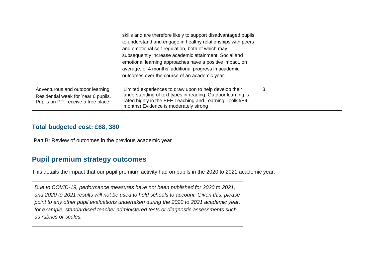|                                                                                                               | skills and are therefore likely to support disadvantaged pupils<br>to understand and engage in healthy relationships with peers<br>and emotional self-regulation, both of which may<br>subsequently increase academic attainment. Social and<br>emotional learning approaches have a positive impact, on<br>average, of 4 months' additional progress in academic<br>outcomes over the course of an academic year. |   |
|---------------------------------------------------------------------------------------------------------------|--------------------------------------------------------------------------------------------------------------------------------------------------------------------------------------------------------------------------------------------------------------------------------------------------------------------------------------------------------------------------------------------------------------------|---|
| Adventurous and outdoor learning<br>Residential week for Year 6 pupils.<br>Pupils on PP receive a free place. | Limited experiences to draw upon to help develop their<br>understanding of text types in reading. Outdoor learning is<br>rated highly in the EEF Teaching and Learning Toolkit(+4<br>months) Evidence is moderately strong.                                                                                                                                                                                        | 3 |

#### **Total budgeted cost: £68, 380**

Part B: Review of outcomes in the previous academic year

# **Pupil premium strategy outcomes**

This details the impact that our pupil premium activity had on pupils in the 2020 to 2021 academic year.

*Due to COVID-19, performance measures have not been published for 2020 to 2021, and 2020 to 2021 results will not be used to hold schools to account. Given this, please point to any other pupil evaluations undertaken during the 2020 to 2021 academic year, for example, standardised teacher administered tests or diagnostic assessments such as rubrics or scales.*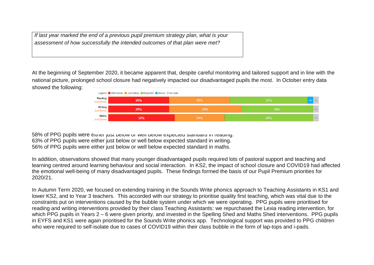*If last year marked the end of a previous pupil premium strategy plan, what is your assessment of how successfully the intended outcomes of that plan were met?* 

At the beginning of September 2020, it became apparent that, despite careful monitoring and tailored support and in line with the national picture, prolonged school closure had negatively impacted our disadvantaged pupils the most. In October entry data showed the following:



58% of PPG pupils were either just below or well below expected standard in reading. 63% of PPG pupils were either just below or well below expected standard in writing. 56% of PPG pupils were either just below or well below expected standard in maths.

In addition, observations showed that many younger disadvantaged pupils required lots of pastoral support and teaching and learning centred around learning behaviour and social interaction. In KS2, the impact of school closure and COVID19 had affected the emotional well-being of many disadvantaged pupils. These findings formed the basis of our Pupil Premium priorities for 2020/21.

In Autumn Term 2020, we focused on extending training in the Sounds Write phonics approach to Teaching Assistants in KS1 and lower KS2, and to Year 3 teachers. This accorded with our strategy to prioritise quality first teaching, which was vital due to the constraints put on interventions caused by the bubble system under which we were operating. PPG pupils were prioritised for reading and writing interventions provided by their class Teaching Assistants: we repurchased the Lexia reading intervention, for which PPG pupils in Years 2 – 6 were given priority, and invested in the Spelling Shed and Maths Shed interventions. PPG pupils in EYFS and KS1 were again prioritised for the Sounds Write phonics app. Technological support was provided to PPG children who were required to self-isolate due to cases of COVID19 within their class bubble in the form of lap-tops and i-pads.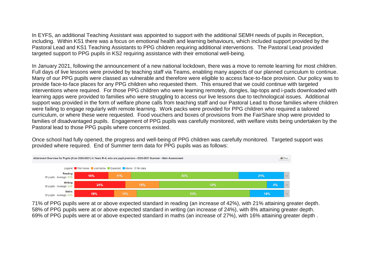In EYFS, an additional Teaching Assistant was appointed to support with the additional SEMH needs of pupils in Reception, including. Within KS1 there was a focus on emotional health and learning behaviours, which included support provided by the Pastoral Lead and KS1 Teaching Assistants to PPG children requiring additional interventions. The Pastoral Lead provided targeted support to PPG pupils in KS2 requiring assistance with their emotional well-being.

In January 2021, following the announcement of a new national lockdown, there was a move to remote learning for most children. Full days of live lessons were provided by teaching staff via Teams, enabling many aspects of our planned curriculum to continue. Many of our PPG pupils were classed as vulnerable and therefore were eligible to access face-to-face provision. Our policy was to provide face-to-face places for any PPG children who requested them. This ensured that we could continue with targeted interventions where required. For those PPG children who were learning remotely, dongles, lap-tops and i-pads downloaded with learning apps were provided to families who were struggling to access our live lessons due to technological issues. Additional support was provided in the form of welfare phone calls from teaching staff and our Pastoral Lead to those families where children were failing to engage regularly with remote learning. Work packs were provided for PPG children who required a tailored curriculum, or where these were requested. Food vouchers and boxes of provisions from the FairShare shop were provided to families of disadvantaged pupils. Engagement of PPG pupils was carefully monitored, with welfare visits being undertaken by the Pastoral lead to those PPG pupils where concerns existed.

Once school had fully opened, the progress and well-being of PPG children was carefully monitored. Targeted support was provided where required. End of Summer term data for PPG pupils was as follows:



71% of PPG pupils were at or above expected standard in reading (an increase of 42%), with 21% attaining greater depth. 58% of PPG pupils were at or above expected standard in writing (an increase of 24%), with 8% attaining greater depth. 69% of PPG pupils were at or above expected standard in maths (an increase of 27%), with 16% attaining greater depth .